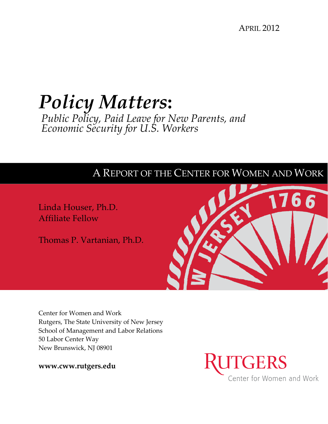APRIL 2012

# *Policy Matters***:**  *Public Policy, Paid Leave for New Parents, and Economic Security for U.S. Workers*

# A REPORT OF THE CENTER FOR WOMEN AND WORK

Linda Houser, Ph.D. Affiliate Fellow

Thomas P. Vartanian, Ph.D.



Center for Women and Work Rutgers, The State University of New Jersey School of Management and Labor Relations 50 Labor Center Way New Brunswick, NJ 08901

**www.cww.rutgers.edu**

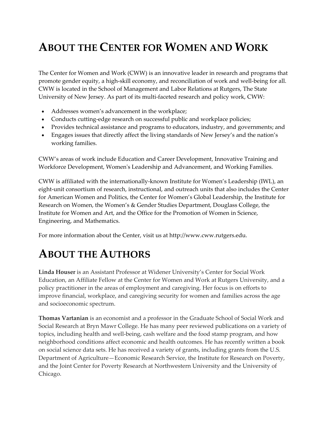# **ABOUT THE CENTER FOR WOMEN AND WORK**

The Center for Women and Work (CWW) is an innovative leader in research and programs that promote gender equity, a high‐skill economy, and reconciliation of work and well‐being for all. CWW is located in the School of Management and Labor Relations at Rutgers, The State University of New Jersey. As part of its multi‐faceted research and policy work, CWW:

- Addresses women's advancement in the workplace;
- Conducts cutting-edge research on successful public and workplace policies;
- Provides technical assistance and programs to educators, industry, and governments; and
- Engages issues that directly affect the living standards of New Jersey's and the nation's working families.

CWW's areas of work include Education and Career Development, Innovative Training and Workforce Development, Womenʹs Leadership and Advancement, and Working Families.

CWW is affiliated with the internationally‐known Institute for Women's Leadership (IWL), an eight-unit consortium of research, instructional, and outreach units that also includes the Center for American Women and Politics, the Center for Women's Global Leadership, the Institute for Research on Women, the Women's & Gender Studies Department, Douglass College, the Institute for Women and Art, and the Office for the Promotion of Women in Science, Engineering, and Mathematics.

For more information about the Center, visit us at http://www.cww.rutgers.edu.

# **ABOUT THE AUTHORS**

**Linda Houser** is an Assistant Professor at Widener University's Center for Social Work Education, an Affiliate Fellow at the Center for Women and Work at Rutgers University, and a policy practitioner in the areas of employment and caregiving. Her focus is on efforts to improve financial, workplace, and caregiving security for women and families across the age and socioeconomic spectrum.

**Thomas Vartanian** is an economist and a professor in the Graduate School of Social Work and Social Research at Bryn Mawr College. He has many peer reviewed publications on a variety of topics, including health and well‐being, cash welfare and the food stamp program, and how neighborhood conditions affect economic and health outcomes. He has recently written a book on social science data sets. He has received a variety of grants, including grants from the U.S. Department of Agriculture—Economic Research Service, the Institute for Research on Poverty, and the Joint Center for Poverty Research at Northwestern University and the University of Chicago.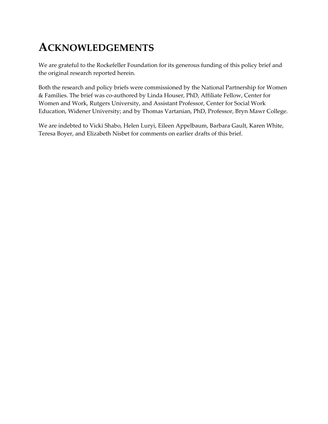# **ACKNOWLEDGEMENTS**

We are grateful to the Rockefeller Foundation for its generous funding of this policy brief and the original research reported herein.

Both the research and policy briefs were commissioned by the National Partnership for Women & Families. The brief was co‐authored by Linda Houser, PhD, Affiliate Fellow, Center for Women and Work, Rutgers University, and Assistant Professor, Center for Social Work Education, Widener University; and by Thomas Vartanian, PhD, Professor, Bryn Mawr College.

We are indebted to Vicki Shabo, Helen Luryi, Eileen Appelbaum, Barbara Gault, Karen White, Teresa Boyer, and Elizabeth Nisbet for comments on earlier drafts of this brief.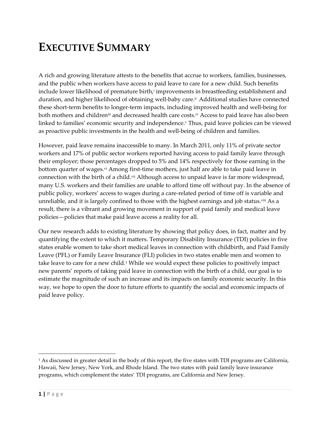# **EXECUTIVE SUMMARY**

A rich and growing literature attests to the benefits that accrue to workers, families, businesses, and the public when workers have access to paid leave to care for a new child. Such benefits include lower likelihood of premature birth,<sup>i</sup> improvements in breastfeeding establishment and duration, and higher likelihood of obtaining well‐baby care.ii Additional studies have connected these short-term benefits to longer-term impacts, including improved health and well-being for both mothers and children<sup>ii</sup> and decreased health care costs.<sup>iv</sup> Access to paid leave has also been linked to families' economic security and independence.<sup>v</sup> Thus, paid leave policies can be viewed as proactive public investments in the health and well‐being of children and families.

However, paid leave remains inaccessible to many. In March 2011, only 11% of private sector workers and 17% of public sector workers reported having access to paid family leave through their employer; those percentages dropped to 5% and 14% respectively for those earning in the bottom quarter of wages.<sup>vi</sup> Among first-time mothers, just half are able to take paid leave in connection with the birth of a child.<sup>vii</sup> Although access to unpaid leave is far more widespread, many U.S. workers and their families are unable to afford time off without pay. In the absence of public policy, workers' access to wages during a care‐related period of time off is variable and unreliable, and it is largely confined to those with the highest earnings and job status.<sup>viii</sup> As a result, there is a vibrant and growing movement in support of paid family and medical leave policies—policies that make paid leave access a reality for all.

Our new research adds to existing literature by showing that policy does, in fact, matter and by quantifying the extent to which it matters. Temporary Disability Insurance (TDI) policies in five states enable women to take short medical leaves in connection with childbirth, and Paid Family Leave (PFL) or Family Leave Insurance (FLI) policies in two states enable men and women to take leave to care for a new child.1 While we would expect these policies to positively impact new parents' reports of taking paid leave in connection with the birth of a child, our goal is to estimate the magnitude of such an increase and its impacts on family economic security. In this way, we hope to open the door to future efforts to quantify the social and economic impacts of paid leave policy.

<sup>1</sup> As discussed in greater detail in the body of this report, the five states with TDI programs are California, Hawaii, New Jersey, New York, and Rhode Island. The two states with paid family leave insurance programs, which complement the states' TDI programs, are California and New Jersey.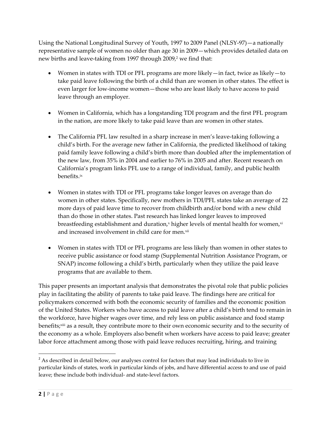Using the National Longitudinal Survey of Youth, 1997 to 2009 Panel (NLSY‐97)—a nationally representative sample of women no older than age 30 in 2009—which provides detailed data on new births and leave-taking from 1997 through 2009,<sup>2</sup> we find that:

- Women in states with TDI or PFL programs are more likely—in fact, twice as likely—to take paid leave following the birth of a child than are women in other states. The effect is even larger for low-income women—those who are least likely to have access to paid leave through an employer.
- Women in California, which has a longstanding TDI program and the first PFL program in the nation, are more likely to take paid leave than are women in other states.
- The California PFL law resulted in a sharp increase in men's leave-taking following a child's birth. For the average new father in California, the predicted likelihood of taking paid family leave following a child's birth more than doubled after the implementation of the new law, from 35% in 2004 and earlier to 76% in 2005 and after. Recent research on California's program links PFL use to a range of individual, family, and public health benefits.ix
- Women in states with TDI or PFL programs take longer leaves on average than do women in other states. Specifically, new mothers in TDI/PFL states take an average of 22 more days of paid leave time to recover from childbirth and/or bond with a new child than do those in other states. Past research has linked longer leaves to improved breastfeeding establishment and duration, $x$  higher levels of mental health for women, $x$ <sup>i</sup> and increased involvement in child care for men.<sup>xii</sup>
- Women in states with TDI or PFL programs are less likely than women in other states to receive public assistance or food stamp (Supplemental Nutrition Assistance Program, or SNAP) income following a child's birth, particularly when they utilize the paid leave programs that are available to them.

This paper presents an important analysis that demonstrates the pivotal role that public policies play in facilitating the ability of parents to take paid leave. The findings here are critical for policymakers concerned with both the economic security of families and the economic position of the United States. Workers who have access to paid leave after a child's birth tend to remain in the workforce, have higher wages over time, and rely less on public assistance and food stamp benefits;<sup>xiii</sup> as a result, they contribute more to their own economic security and to the security of the economy as a whole. Employers also benefit when workers have access to paid leave; greater labor force attachment among those with paid leave reduces recruiting, hiring, and training

 $2$  As described in detail below, our analyses control for factors that may lead individuals to live in particular kinds of states, work in particular kinds of jobs, and have differential access to and use of paid leave; these include both individual‐ and state‐level factors.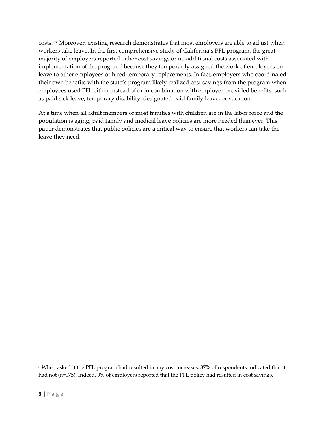costs.xiv Moreover, existing research demonstrates that most employers are able to adjust when workers take leave. In the first comprehensive study of California's PFL program, the great majority of employers reported either cost savings or no additional costs associated with implementation of the program<sup>3</sup> because they temporarily assigned the work of employees on leave to other employees or hired temporary replacements. In fact, employers who coordinated their own benefits with the state's program likely realized cost savings from the program when employees used PFL either instead of or in combination with employer-provided benefits, such as paid sick leave, temporary disability, designated paid family leave, or vacation.

At a time when all adult members of most families with children are in the labor force and the population is aging, paid family and medical leave policies are more needed than ever. This paper demonstrates that public policies are a critical way to ensure that workers can take the leave they need.

<sup>&</sup>lt;sup>3</sup> When asked if the PFL program had resulted in any cost increases, 87% of respondents indicated that it had not (n=175). Indeed, 9% of employers reported that the PFL policy had resulted in cost savings.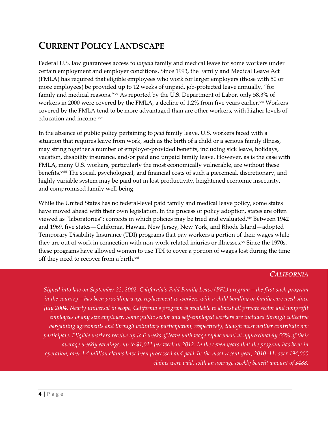# **CURRENT POLICY LANDSCAPE**

Federal U.S. law guarantees access to *unpaid* family and medical leave for some workers under certain employment and employer conditions. Since 1993, the Family and Medical Leave Act (FMLA) has required that eligible employees who work for larger employers (those with 50 or more employees) be provided up to 12 weeks of unpaid, job-protected leave annually, "for family and medical reasons."xv As reported by the U.S. Department of Labor, only 58.3% of workers in 2000 were covered by the FMLA, a decline of 1.2% from five years earlier.<sup>xvi</sup> Workers covered by the FMLA tend to be more advantaged than are other workers, with higher levels of education and income. xvii

In the absence of public policy pertaining to *paid* family leave, U.S. workers faced with a situation that requires leave from work, such as the birth of a child or a serious family illness, may string together a number of employer-provided benefits, including sick leave, holidays, vacation, disability insurance, and/or paid and unpaid family leave. However, as is the case with FMLA, many U.S. workers, particularly the most economically vulnerable, are without these benefits.xviii The social, psychological, and financial costs of such a piecemeal, discretionary, and highly variable system may be paid out in lost productivity, heightened economic insecurity, and compromised family well‐being.

While the United States has no federal-level paid family and medical leave policy, some states have moved ahead with their own legislation. In the process of policy adoption, states are often viewed as "laboratories": contexts in which policies may be tried and evaluated.xix Between 1942 and 1969, five states—California, Hawaii, New Jersey, New York, and Rhode Island—adopted Temporary Disability Insurance (TDI) programs that pay workers a portion of their wages while they are out of work in connection with non-work-related injuries or illnesses. $x$  Since the 1970s, these programs have allowed women to use TDI to cover a portion of wages lost during the time off they need to recover from a birth.<sup>xxi</sup>

### *CALIFORNIA*

*Signed into law on September 23, 2002, California's Paid Family Leave (PFL) program—the first such program* in the country—has been providing wage replacement to workers with a child bonding or family care need since July 2004. Nearly universal in scope, California's program is available to almost all private sector and nonprofit employees of any size employer. Some public sector and self-employed workers are included through collective *bargaining agreements and through voluntary participation, respectively, though most neither contribute nor* participate. Eligible workers receive up to 6 weeks of leave with wage replacement at approximately 55% of their average weekly earnings, up to \$1,011 per week in 2012. In the seven years that the program has been in operation, over 1.4 million claims have been processed and paid. In the most recent year, 2010–11, over 194,000 *claims were paid, with an average weekly benefit amount of \$488.*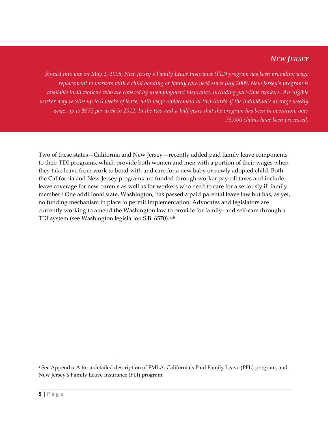### *NEW JERSEY*

Signed into law on May 2, 2008, New Jersey's Family Leave Insurance (FLI) program has been providing wage replacement to workers with a child bonding or family care need since July 2009. New Jersey's program is available to all workers who are covered by unemployment insurance, including part-time workers. An eligible worker may receive up to 6 weeks of leave, with wage replacement at two-thirds of the individual's average weekly wage, up to \$572 per week in 2012. In the two-and-a-half years that the program has been in operation, over *75,000 claims have been processed.*

Two of these states—California and New Jersey—recently added paid family leave components to their TDI programs, which provide both women and men with a portion of their wages when they take leave from work to bond with and care for a new baby or newly adopted child. Both the California and New Jersey programs are funded through worker payroll taxes and include leave coverage for new parents as well as for workers who need to care for a seriously ill family member.4 One additional state, Washington, has passed a paid parental leave law but has, as yet, no funding mechanism in place to permit implementation. Advocates and legislators are currently working to amend the Washington law to provide for family‐ and self‐care through a TDI system (see Washington legislation S.B. 6570).<sup>xxii</sup>

<sup>4</sup> See Appendix A for a detailed description of FMLA, California's Paid Family Leave (PFL) program, and New Jersey's Family Leave Insurance (FLI) program.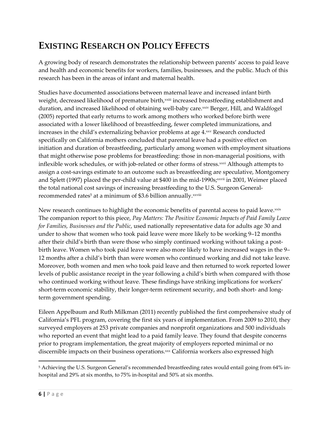# **EXISTING RESEARCH ON POLICY EFFECTS**

A growing body of research demonstrates the relationship between parents' access to paid leave and health and economic benefits for workers, families, businesses, and the public. Much of this research has been in the areas of infant and maternal health.

Studies have documented associations between maternal leave and increased infant birth weight, decreased likelihood of premature birth, xxiii increased breastfeeding establishment and duration, and increased likelihood of obtaining well-baby care.xxiv Berger, Hill, and Waldfogel (2005) reported that early returns to work among mothers who worked before birth were associated with a lower likelihood of breastfeeding, fewer completed immunizations, and increases in the child's externalizing behavior problems at age 4.xxv Research conducted specifically on California mothers concluded that parental leave had a positive effect on initiation and duration of breastfeeding, particularly among women with employment situations that might otherwise pose problems for breastfeeding: those in non‐managerial positions, with inflexible work schedules, or with job-related or other forms of stress.xxvi Although attempts to assign a cost-savings estimate to an outcome such as breastfeeding are speculative, Montgomery and Splett (1997) placed the per-child value at \$400 in the mid-1990s; xxvii in 2001, Weimer placed the total national cost savings of increasing breastfeeding to the U.S. Surgeon General‐ recommended rates<sup>5</sup> at a minimum of \$3.6 billion annually.<sup>xxviii</sup>

New research continues to highlight the economic benefits of parental access to paid leave.  $x$ ixix The companion report to this piece, *Pay Matters: The Positive Economic Impacts of Paid Family Leave for Families, Businesses and the Public*, used nationally representative data for adults age 30 and under to show that women who took paid leave were more likely to be working 9–12 months after their child's birth than were those who simply continued working without taking a postbirth leave. Women who took paid leave were also more likely to have increased wages in the 9– 12 months after a child's birth than were women who continued working and did not take leave. Moreover, both women and men who took paid leave and then returned to work reported lower levels of public assistance receipt in the year following a child's birth when compared with those who continued working without leave. These findings have striking implications for workers' short-term economic stability, their longer-term retirement security, and both short- and longterm government spending.

Eileen Appelbaum and Ruth Milkman (2011) recently published the first comprehensive study of California's PFL program, covering the first six years of implementation. From 2009 to 2010, they surveyed employers at 253 private companies and nonprofit organizations and 500 individuals who reported an event that might lead to a paid family leave. They found that despite concerns prior to program implementation, the great majority of employers reported minimal or no discernible impacts on their business operations.<sup>xxx</sup> California workers also expressed high

<sup>&</sup>lt;sup>5</sup> Achieving the U.S. Surgeon General's recommended breastfeeding rates would entail going from 64% inhospital and 29% at six months, to 75% in-hospital and 50% at six months.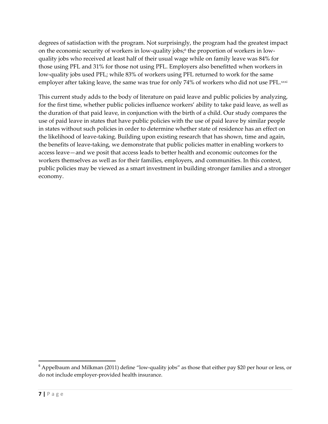degrees of satisfaction with the program. Not surprisingly, the program had the greatest impact on the economic security of workers in low-quality jobs;<sup>6</sup> the proportion of workers in lowquality jobs who received at least half of their usual wage while on family leave was 84% for those using PFL and 31% for those not using PFL. Employers also benefitted when workers in low-quality jobs used PFL; while 83% of workers using PFL returned to work for the same employer after taking leave, the same was true for only 74% of workers who did not use PFL.xxxi

This current study adds to the body of literature on paid leave and public policies by analyzing, for the first time, whether public policies influence workers' ability to take paid leave, as well as the duration of that paid leave, in conjunction with the birth of a child. Our study compares the use of paid leave in states that have public policies with the use of paid leave by similar people in states without such policies in order to determine whether state of residence has an effect on the likelihood of leave‐taking. Building upon existing research that has shown, time and again, the benefits of leave‐taking, we demonstrate that public policies matter in enabling workers to access leave—and we posit that access leads to better health and economic outcomes for the workers themselves as well as for their families, employers, and communities. In this context, public policies may be viewed as a smart investment in building stronger families and a stronger economy.

 $6$  Appelbaum and Milkman (2011) define "low-quality jobs" as those that either pay \$20 per hour or less, or do not include employer‐provided health insurance.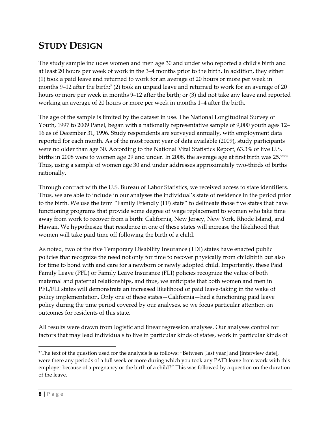# **STUDY DESIGN**

The study sample includes women and men age 30 and under who reported a child's birth and at least 20 hours per week of work in the 3–4 months prior to the birth. In addition, they either (1) took a paid leave and returned to work for an average of 20 hours or more per week in months 9–12 after the birth;<sup>7</sup> (2) took an unpaid leave and returned to work for an average of 20 hours or more per week in months 9–12 after the birth; or (3) did not take any leave and reported working an average of 20 hours or more per week in months 1–4 after the birth.

The age of the sample is limited by the dataset in use. The National Longitudinal Survey of Youth, 1997 to 2009 Panel, began with a nationally representative sample of 9,000 youth ages 12– 16 as of December 31, 1996. Study respondents are surveyed annually, with employment data reported for each month. As of the most recent year of data available (2009), study participants were no older than age 30. According to the National Vital Statistics Report, 63.3% of live U.S. births in 2008 were to women age 29 and under. In 2008, the average age at first birth was  $25 \cdot x \cdot x \cdot i$ Thus, using a sample of women age 30 and under addresses approximately two‐thirds of births nationally.

Through contract with the U.S. Bureau of Labor Statistics, we received access to state identifiers. Thus, we are able to include in our analyses the individual's state of residence in the period prior to the birth. We use the term "Family Friendly (FF) state" to delineate those five states that have functioning programs that provide some degree of wage replacement to women who take time away from work to recover from a birth: California, New Jersey, New York, Rhode Island, and Hawaii. We hypothesize that residence in one of these states will increase the likelihood that women will take paid time off following the birth of a child.

As noted, two of the five Temporary Disability Insurance (TDI) states have enacted public policies that recognize the need not only for time to recover physically from childbirth but also for time to bond with and care for a newborn or newly adopted child. Importantly, these Paid Family Leave (PFL) or Family Leave Insurance (FLI) policies recognize the value of both maternal and paternal relationships, and thus, we anticipate that both women and men in PFL/FLI states will demonstrate an increased likelihood of paid leave-taking in the wake of policy implementation. Only one of these states—California—had a functioning paid leave policy during the time period covered by our analyses, so we focus particular attention on outcomes for residents of this state.

All results were drawn from logistic and linear regression analyses. Our analyses control for factors that may lead individuals to live in particular kinds of states, work in particular kinds of

<sup>7</sup> The text of the question used for the analysis is as follows: "Between [last year] and [interview date], were there any periods of a full week or more during which you took any PAID leave from work with this employer because of a pregnancy or the birth of a child?" This was followed by a question on the duration of the leave.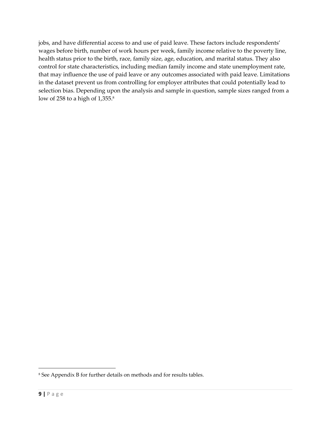jobs, and have differential access to and use of paid leave. These factors include respondents' wages before birth, number of work hours per week, family income relative to the poverty line, health status prior to the birth, race, family size, age, education, and marital status. They also control for state characteristics, including median family income and state unemployment rate, that may influence the use of paid leave or any outcomes associated with paid leave. Limitations in the dataset prevent us from controlling for employer attributes that could potentially lead to selection bias. Depending upon the analysis and sample in question, sample sizes ranged from a low of 258 to a high of  $1,355$ .<sup>8</sup>

<sup>8</sup> See Appendix B for further details on methods and for results tables.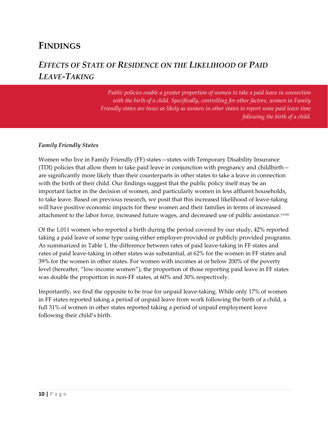### **FINDINGS**

### *EFFECTS OF STATE OF RESIDENCE ON THE LIKELIHOOD OF PAID LEAVE‐TAKING*

*Public policies enable a greater proportion of women to take a paid leave in connection with the birth of a child. Specifically, controlling for other factors, women in Family Friendly states are twice as likely as women in other states to report some paid leave time following the birth of a child.*

#### *Family Friendly States*

Women who live in Family Friendly (FF) states—states with Temporary Disability Insurance (TDI) policies that allow them to take paid leave in conjunction with pregnancy and childbirth are significantly more likely than their counterparts in other states to take a leave in connection with the birth of their child. Our findings suggest that the public policy itself may be an important factor in the decision of women, and particularly women in less affluent households, to take leave. Based on previous research, we posit that this increased likelihood of leave‐taking will have positive economic impacts for these women and their families in terms of increased attachment to the labor force, increased future wages, and decreased use of public assistance.xxxiii

Of the 1,011 women who reported a birth during the period covered by our study, 42% reported taking a paid leave of some type using either employer-provided or publicly provided programs. As summarized in Table 1, the difference between rates of paid leave-taking in FF states and rates of paid leave-taking in other states was substantial, at 62% for the women in FF states and 39% for the women in other states. For women with incomes at or below 200% of the poverty level (hereafter, "low‐income women"), the proportion of those reporting paid leave in FF states was double the proportion in non‐FF states, at 60% and 30% respectively.

Importantly, we find the opposite to be true for unpaid leave-taking. While only 17% of women in FF states reported taking a period of unpaid leave from work following the birth of a child, a full 31% of women in other states reported taking a period of unpaid employment leave following their child's birth.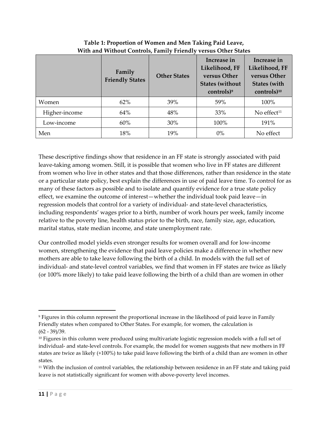|               | Family<br><b>Friendly States</b> | <b>Other States</b> | Increase in<br>Likelihood, FF<br>versus Other<br><b>States (without</b><br>$controls)^9$ | Increase in<br>Likelihood, FF<br>versus Other<br><b>States (with</b><br>controls) <sup>10</sup> |
|---------------|----------------------------------|---------------------|------------------------------------------------------------------------------------------|-------------------------------------------------------------------------------------------------|
| Women         | 62%                              | 39%                 | 59%                                                                                      | 100%                                                                                            |
| Higher-income | 64%                              | 48%                 | 33%                                                                                      | No effect $11$                                                                                  |
| Low-income    | 60%                              | 30%                 | 100%                                                                                     | 191%                                                                                            |
| Men           | 18%                              | 19%                 | 0%                                                                                       | No effect                                                                                       |

#### **Table 1: Proportion of Women and Men Taking Paid Leave, With and Without Controls, Family Friendly versus Other States**

These descriptive findings show that residence in an FF state is strongly associated with paid leave-taking among women. Still, it is possible that women who live in FF states are different from women who live in other states and that those differences, rather than residence in the state or a particular state policy, best explain the differences in use of paid leave time. To control for as many of these factors as possible and to isolate and quantify evidence for a true state policy effect, we examine the outcome of interest—whether the individual took paid leave—in regression models that control for a variety of individual‐ and state‐level characteristics, including respondents' wages prior to a birth, number of work hours per week, family income relative to the poverty line, health status prior to the birth, race, family size, age, education, marital status, state median income, and state unemployment rate.

Our controlled model yields even stronger results for women overall and for low‐income women, strengthening the evidence that paid leave policies make a difference in whether new mothers are able to take leave following the birth of a child. In models with the full set of individual‐ and state‐level control variables, we find that women in FF states are twice as likely (or 100% more likely) to take paid leave following the birth of a child than are women in other

<sup>9</sup> Figures in this column represent the proportional increase in the likelihood of paid leave in Family Friendly states when compared to Other States. For example, for women, the calculation is (62 ‐ 39)/39.

<sup>&</sup>lt;sup>10</sup> Figures in this column were produced using multivariate logistic regression models with a full set of individual- and state-level controls. For example, the model for women suggests that new mothers in FF states are twice as likely (+100%) to take paid leave following the birth of a child than are women in other states.

<sup>11</sup> With the inclusion of control variables, the relationship between residence in an FF state and taking paid leave is not statistically significant for women with above-poverty level incomes.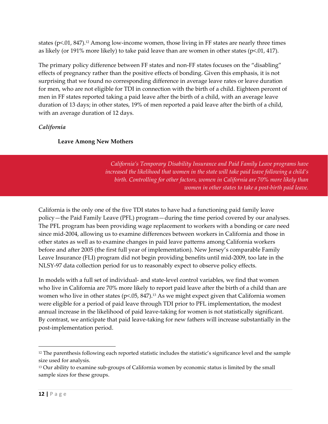states ( $p<01$ , 847).<sup>12</sup> Among low-income women, those living in FF states are nearly three times as likely (or 191% more likely) to take paid leave than are women in other states ( $p<0.01$ , 417).

The primary policy difference between FF states and non-FF states focuses on the "disabling" effects of pregnancy rather than the positive effects of bonding. Given this emphasis, it is not surprising that we found no corresponding difference in average leave rates or leave duration for men, who are not eligible for TDI in connection with the birth of a child. Eighteen percent of men in FF states reported taking a paid leave after the birth of a child, with an average leave duration of 13 days; in other states, 19% of men reported a paid leave after the birth of a child, with an average duration of 12 days.

### *California*

### **Leave Among New Mothers**

*California's Temporary Disability Insurance and Paid Family Leave programs have increased the likelihood that women in the state will take paid leave following a child's birth. Controlling for other factors, women in California are 70% more likely than women in other states to take a post‐birth paid leave.* 

California is the only one of the five TDI states to have had a functioning paid family leave policy—the Paid Family Leave (PFL) program—during the time period covered by our analyses. The PFL program has been providing wage replacement to workers with a bonding or care need since mid‐2004, allowing us to examine differences between workers in California and those in other states as well as to examine changes in paid leave patterns among California workers before and after 2005 (the first full year of implementation). New Jersey's comparable Family Leave Insurance (FLI) program did not begin providing benefits until mid‐2009, too late in the NLSY‐97 data collection period for us to reasonably expect to observe policy effects.

In models with a full set of individual‐ and state‐level control variables, we find that women who live in California are 70% more likely to report paid leave after the birth of a child than are women who live in other states ( $p$ <.05, 847).<sup>13</sup> As we might expect given that California women were eligible for a period of paid leave through TDI prior to PFL implementation, the modest annual increase in the likelihood of paid leave‐taking for women is not statistically significant. By contrast, we anticipate that paid leave‐taking for new fathers will increase substantially in the post‐implementation period.

<sup>&</sup>lt;sup>12</sup> The parenthesis following each reported statistic includes the statistic's significance level and the sample size used for analysis.

<sup>&</sup>lt;sup>13</sup> Our ability to examine sub-groups of California women by economic status is limited by the small sample sizes for these groups.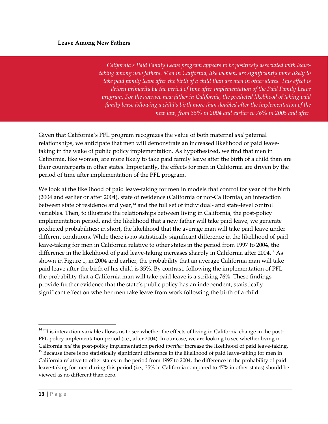#### **Leave Among New Fathers**

*California's Paid Family Leave program appears to be positively associated with leave‐ taking among new fathers. Men in California, like women, are significantly more likely to* take paid family leave after the birth of a child than are men in other states. This effect is *driven primarily by the period of time after implementation of the Paid Family Leave program. For the average new father in California, the predicted likelihood of taking paid family leave following a child's birth more than doubled after the implementation of the new law, from 35% in 2004 and earlier to 76% in 2005 and after.*

Given that California's PFL program recognizes the value of both maternal *and* paternal relationships, we anticipate that men will demonstrate an increased likelihood of paid leavetaking in the wake of public policy implementation. As hypothesized, we find that men in California, like women, are more likely to take paid family leave after the birth of a child than are their counterparts in other states. Importantly, the effects for men in California are driven by the period of time after implementation of the PFL program.

We look at the likelihood of paid leave-taking for men in models that control for year of the birth (2004 and earlier or after 2004), state of residence (California or not‐California), an interaction between state of residence and year,<sup>14</sup> and the full set of individual- and state-level control variables. Then, to illustrate the relationships between living in California, the post-policy implementation period, and the likelihood that a new father will take paid leave, we generate predicted probabilities: in short, the likelihood that the average man will take paid leave under different conditions. While there is no statistically significant difference in the likelihood of paid leave‐taking for men in California relative to other states in the period from 1997 to 2004, the difference in the likelihood of paid leave-taking increases sharply in California after 2004.<sup>15</sup> As shown in Figure 1, in 2004 and earlier, the probability that an average California man will take paid leave after the birth of his child is 35%. By contrast, following the implementation of PFL, the probability that a California man will take paid leave is a striking 76%. These findings provide further evidence that the state's public policy has an independent, statistically significant effect on whether men take leave from work following the birth of a child.

<sup>&</sup>lt;sup>14</sup> This interaction variable allows us to see whether the effects of living in California change in the post-PFL policy implementation period (i.e., after 2004). In our case, we are looking to see whether living in California *and* the post-policy implementation period *together* increase the likelihood of paid leave-taking. <sup>15</sup> Because there is no statistically significant difference in the likelihood of paid leave-taking for men in California relative to other states in the period from 1997 to 2004, the difference in the probability of paid leave-taking for men during this period (i.e., 35% in California compared to 47% in other states) should be viewed as no different than zero.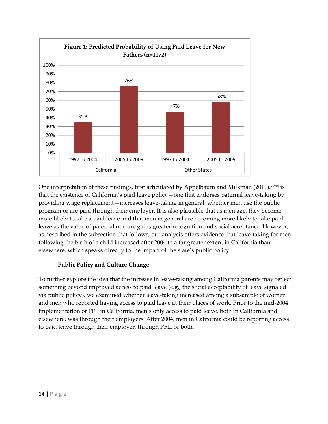

One interpretation of these findings, first articulated by Appelbaum and Milkman  $(2011)$ ,  $x\sin$  is that the existence of California's paid leave policy—one that endorses paternal leave‐taking by providing wage replacement—increases leave‐taking in general, whether men use the public program or are paid through their employer. It is also plausible that as men age, they become more likely to take a paid leave and that men in general are becoming more likely to take paid leave as the value of paternal nurture gains greater recognition and social acceptance. However, as described in the subsection that follows, our analysis offers evidence that leave-taking for men following the birth of a child increased after 2004 to a far greater extent in California than elsewhere, which speaks directly to the impact of the state's public policy.

#### **Public Policy and Culture Change**

To further explore the idea that the increase in leave‐taking among California parents may reflect something beyond improved access to paid leave (e.g., the social acceptability of leave signaled via public policy), we examined whether leave‐taking increased among a subsample of women and men who reported having access to paid leave at their places of work. Prior to the mid‐2004 implementation of PFL in California, men's only access to paid leave, both in California and elsewhere, was through their employers. After 2004, men in California could be reporting access to paid leave through their employer, through PFL, or both.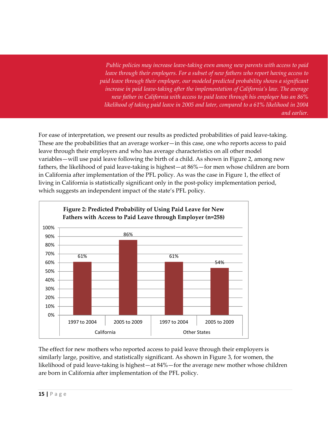*Public policies may increase leave‐taking even among new parents with access to paid leave through their employers. For a subset of new fathers who report having access to paid leave through their employer, our modeled predicted probability shows a significant increase in paid leave‐taking after the implementation of California's law. The average new father in California with access to paid leave through his employer has an 86% likelihood of taking paid leave in 2005 and later, compared to a 61% likelihood in 2004 and earlier.*

For ease of interpretation, we present our results as predicted probabilities of paid leave-taking. These are the probabilities that an average worker—in this case, one who reports access to paid leave through their employers and who has average characteristics on all other model variables—will use paid leave following the birth of a child. As shown in Figure 2, among new fathers, the likelihood of paid leave-taking is highest—at  $86\%$ —for men whose children are born in California after implementation of the PFL policy. As was the case in Figure 1, the effect of living in California is statistically significant only in the post-policy implementation period, which suggests an independent impact of the state's PFL policy.



The effect for new mothers who reported access to paid leave through their employers is similarly large, positive, and statistically significant. As shown in Figure 3, for women, the likelihood of paid leave-taking is highest—at 84%—for the average new mother whose children are born in California after implementation of the PFL policy.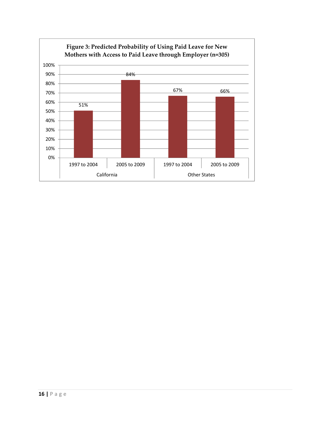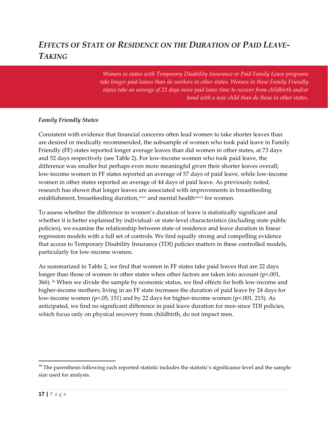## *EFFECTS OF STATE OF RESIDENCE ON THE DURATION OF PAID LEAVE‐ TAKING*

*Women in states with Temporary Disability Insurance or Paid Family Leave programs take longer paid leaves than do workers in other states. Women in these Family Friendly states take an average of 22 days more paid leave time to recover from childbirth and/or bond with a new child than do those in other states.*

#### *Family Friendly States*

Consistent with evidence that financial concerns often lead women to take shorter leaves than are desired or medically recommended, the subsample of women who took paid leave in Family Friendly (FF) states reported longer average leaves than did women in other states, at 73 days and 52 days respectively (see Table 2). For low‐income women who took paid leave, the difference was smaller but perhaps even more meaningful given their shorter leaves overall; low‐income women in FF states reported an average of 57 days of paid leave, while low‐income women in other states reported an average of 44 days of paid leave. As previously noted, research has shown that longer leaves are associated with improvements in breastfeeding establishment, breastfeeding duration, xxxv and mental health xxxvi for women.

To assess whether the difference in women's duration of leave is statistically significant and whether it is better explained by individual- or state-level characteristics (including state public policies), we examine the relationship between state of residence and leave duration in linear regression models with a full set of controls. We find equally strong and compelling evidence that access to Temporary Disability Insurance (TDI) policies matters in these controlled models, particularly for low‐income women.

As summarized in Table 2, we find that women in FF states take paid leaves that are 22 days longer than those of women in other states when other factors are taken into account (p<.001, 366). <sup>16</sup> When we divide the sample by economic status, we find effects for both low‐income and higher-income mothers; living in an FF state increases the duration of paid leave by 24 days for low‐income women (p<.05, 151) and by 22 days for higher‐income women (p<.001, 215). As anticipated, we find no significant difference in paid leave duration for men since TDI policies, which focus only on physical recovery from childbirth, do not impact men.

<sup>&</sup>lt;sup>16</sup> The parenthesis following each reported statistic includes the statistic's significance level and the sample size used for analysis.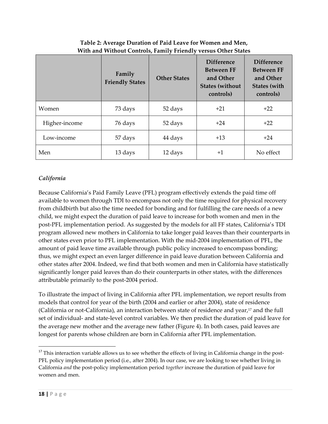|               | Family<br><b>Friendly States</b> | ╯<br><b>Other States</b> | <b>Difference</b><br><b>Between FF</b><br>and Other<br><b>States (without</b><br>controls) | <b>Difference</b><br><b>Between FF</b><br>and Other<br><b>States (with</b><br>controls) |
|---------------|----------------------------------|--------------------------|--------------------------------------------------------------------------------------------|-----------------------------------------------------------------------------------------|
| Women         | 73 days                          | 52 days                  | $+21$                                                                                      | $+22$                                                                                   |
| Higher-income | 76 days                          | 52 days                  | $+24$                                                                                      | $+22$                                                                                   |
| Low-income    | 57 days                          | 44 days                  | $+13$                                                                                      | $+24$                                                                                   |
| Men           | 13 days                          | 12 days                  | $+1$                                                                                       | No effect                                                                               |

### **Table 2: Average Duration of Paid Leave for Women and Men, With and Without Controls, Family Friendly versus Other States**

### *California*

Because California's Paid Family Leave (PFL) program effectively extends the paid time off available to women through TDI to encompass not only the time required for physical recovery from childbirth but also the time needed for bonding and for fulfilling the care needs of a new child, we might expect the duration of paid leave to increase for both women and men in the post‐PFL implementation period. As suggested by the models for all FF states, California's TDI program allowed new mothers in California to take longer paid leaves than their counterparts in other states even prior to PFL implementation. With the mid‐2004 implementation of PFL, the amount of paid leave time available through public policy increased to encompass bonding; thus, we might expect an even larger difference in paid leave duration between California and other states after 2004. Indeed, we find that both women and men in California have statistically significantly longer paid leaves than do their counterparts in other states, with the differences attributable primarily to the post‐2004 period.

To illustrate the impact of living in California after PFL implementation, we report results from models that control for year of the birth (2004 and earlier or after 2004), state of residence (California or not-California), an interaction between state of residence and year, $17$  and the full set of individual- and state-level control variables. We then predict the duration of paid leave for the average new mother and the average new father (Figure 4). In both cases, paid leaves are longest for parents whose children are born in California after PFL implementation.

 $17$  This interaction variable allows us to see whether the effects of living in California change in the post-PFL policy implementation period (i.e., after 2004). In our case, we are looking to see whether living in California *and* the post‐policy implementation period *together* increase the duration of paid leave for women and men.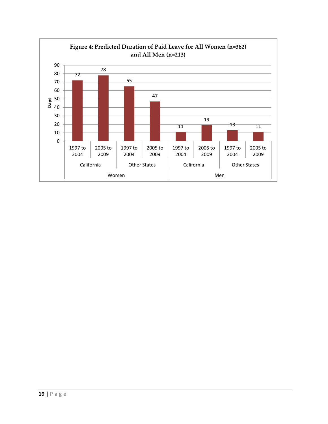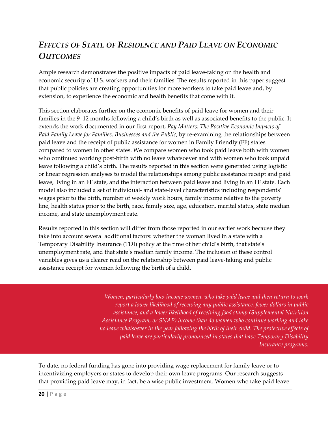## *EFFECTS OF STATE OF RESIDENCE AND PAID LEAVE ON ECONOMIC OUTCOMES*

Ample research demonstrates the positive impacts of paid leave-taking on the health and economic security of U.S. workers and their families. The results reported in this paper suggest that public policies are creating opportunities for more workers to take paid leave and, by extension, to experience the economic and health benefits that come with it.

This section elaborates further on the economic benefits of paid leave for women and their families in the 9–12 months following a child's birth as well as associated benefits to the public. It extends the work documented in our first report, *Pay Matters: The Positive Economic Impacts of Paid Family Leave for Families, Businesses and the Public*, by re‐examining the relationships between paid leave and the receipt of public assistance for women in Family Friendly (FF) states compared to women in other states. We compare women who took paid leave both with women who continued working post-birth with no leave whatsoever and with women who took unpaid leave following a child's birth. The results reported in this section were generated using logistic or linear regression analyses to model the relationships among public assistance receipt and paid leave, living in an FF state, and the interaction between paid leave and living in an FF state. Each model also included a set of individual‐ and state‐level characteristics including respondents' wages prior to the birth, number of weekly work hours, family income relative to the poverty line, health status prior to the birth, race, family size, age, education, marital status, state median income, and state unemployment rate.

Results reported in this section will differ from those reported in our earlier work because they take into account several additional factors: whether the woman lived in a state with a Temporary Disability Insurance (TDI) policy at the time of her child's birth, that state's unemployment rate, and that state's median family income. The inclusion of these control variables gives us a clearer read on the relationship between paid leave-taking and public assistance receipt for women following the birth of a child.

> *Women, particularly low‐income women, who take paid leave and then return to work report a lower likelihood of receiving any public assistance, fewer dollars in public assistance, and a lower likelihood of receiving food stamp (Supplemental Nutrition Assistance Program, or SNAP) income than do women who continue working and take no leave whatsoever in the year following the birth of their child. The protective effects of paid leave are particularly pronounced in states that have Temporary Disability Insurance programs.*

To date, no federal funding has gone into providing wage replacement for family leave or to incentivizing employers or states to develop their own leave programs. Our research suggests that providing paid leave may, in fact, be a wise public investment. Women who take paid leave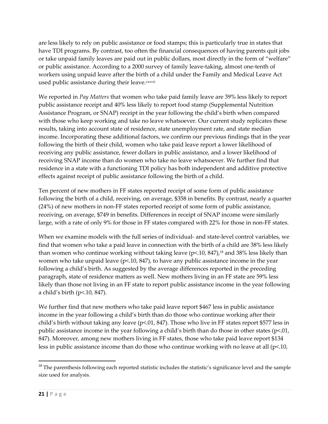are less likely to rely on public assistance or food stamps; this is particularly true in states that have TDI programs. By contrast, too often the financial consequences of having parents quit jobs or take unpaid family leaves are paid out in public dollars, most directly in the form of "welfare" or public assistance. According to a 2000 survey of family leave‐taking, almost one‐tenth of workers using unpaid leave after the birth of a child under the Family and Medical Leave Act used public assistance during their leave.xxxvii

We reported in *Pay Matters* that women who take paid family leave are 39% less likely to report public assistance receipt and 40% less likely to report food stamp (Supplemental Nutrition Assistance Program, or SNAP) receipt in the year following the child's birth when compared with those who keep working and take no leave whatsoever. Our current study replicates these results, taking into account state of residence, state unemployment rate, and state median income. Incorporating these additional factors, we confirm our previous findings that in the year following the birth of their child, women who take paid leave report a lower likelihood of receiving any public assistance, fewer dollars in public assistance, and a lower likelihood of receiving SNAP income than do women who take no leave whatsoever. We further find that residence in a state with a functioning TDI policy has both independent and additive protective effects against receipt of public assistance following the birth of a child.

Ten percent of new mothers in FF states reported receipt of some form of public assistance following the birth of a child, receiving, on average, \$358 in benefits. By contrast, nearly a quarter (24%) of new mothers in non‐FF states reported receipt of some form of public assistance, receiving, on average, \$749 in benefits. Differences in receipt of SNAP income were similarly large, with a rate of only 9% for those in FF states compared with 22% for those in non‐FF states.

When we examine models with the full series of individual- and state-level control variables, we find that women who take a paid leave in connection with the birth of a child are 38% less likely than women who continue working without taking leave  $(p< 10, 847)$ ,<sup>18</sup> and 38% less likely than women who take unpaid leave ( $p<10$ , 847), to have any public assistance income in the year following a child's birth. As suggested by the average differences reported in the preceding paragraph, state of residence matters as well. New mothers living in an FF state are 59% less likely than those not living in an FF state to report public assistance income in the year following a child's birth (p<.10, 847).

We further find that new mothers who take paid leave report \$467 less in public assistance income in the year following a child's birth than do those who continue working after their child's birth without taking any leave ( $p<0.01$ , 847). Those who live in FF states report \$577 less in public assistance income in the year following a child's birth than do those in other states ( $p<.01$ , 847). Moreover, among new mothers living in FF states, those who take paid leave report \$134 less in public assistance income than do those who continue working with no leave at all  $(p<10,$ 

<sup>&</sup>lt;sup>18</sup> The parenthesis following each reported statistic includes the statistic's significance level and the sample size used for analysis.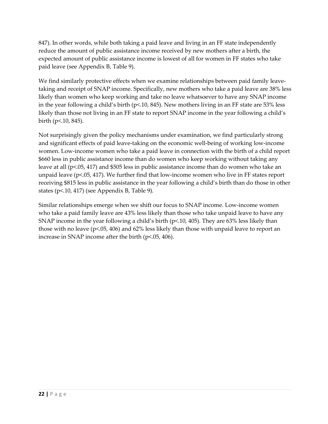847). In other words, while both taking a paid leave and living in an FF state independently reduce the amount of public assistance income received by new mothers after a birth, the expected amount of public assistance income is lowest of all for women in FF states who take paid leave (see Appendix B, Table 9).

We find similarly protective effects when we examine relationships between paid family leavetaking and receipt of SNAP income. Specifically, new mothers who take a paid leave are 38% less likely than women who keep working and take no leave whatsoever to have any SNAP income in the year following a child's birth (p<.10, 845). New mothers living in an FF state are 53% less likely than those not living in an FF state to report SNAP income in the year following a child's birth (p<.10, 845).

Not surprisingly given the policy mechanisms under examination, we find particularly strong and significant effects of paid leave‐taking on the economic well‐being of working low‐income women. Low‐income women who take a paid leave in connection with the birth of a child report \$660 less in public assistance income than do women who keep working without taking any leave at all (p<.05, 417) and \$505 less in public assistance income than do women who take an unpaid leave ( $p$ <.05, 417). We further find that low-income women who live in FF states report receiving \$815 less in public assistance in the year following a child's birth than do those in other states (p<.10, 417) (see Appendix B, Table 9).

Similar relationships emerge when we shift our focus to SNAP income. Low‐income women who take a paid family leave are 43% less likely than those who take unpaid leave to have any SNAP income in the year following a child's birth (p<.10, 405). They are 63% less likely than those with no leave (p<.05, 406) and 62% less likely than those with unpaid leave to report an increase in SNAP income after the birth (p<.05, 406).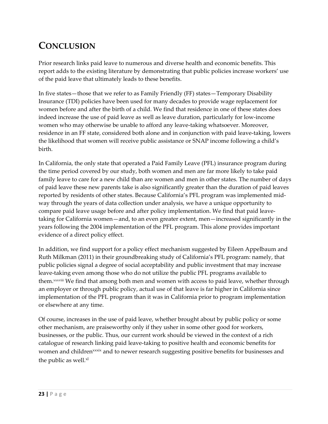# **CONCLUSION**

Prior research links paid leave to numerous and diverse health and economic benefits. This report adds to the existing literature by demonstrating that public policies increase workers' use of the paid leave that ultimately leads to these benefits.

In five states—those that we refer to as Family Friendly (FF) states—Temporary Disability Insurance (TDI) policies have been used for many decades to provide wage replacement for women before and after the birth of a child. We find that residence in one of these states does indeed increase the use of paid leave as well as leave duration, particularly for low-income women who may otherwise be unable to afford any leave-taking whatsoever. Moreover, residence in an FF state, considered both alone and in conjunction with paid leave-taking, lowers the likelihood that women will receive public assistance or SNAP income following a child's birth.

In California, the only state that operated a Paid Family Leave (PFL) insurance program during the time period covered by our study, both women and men are far more likely to take paid family leave to care for a new child than are women and men in other states. The number of days of paid leave these new parents take is also significantly greater than the duration of paid leaves reported by residents of other states. Because California's PFL program was implemented mid‐ way through the years of data collection under analysis, we have a unique opportunity to compare paid leave usage before and after policy implementation. We find that paid leavetaking for California women—and, to an even greater extent, men—increased significantly in the years following the 2004 implementation of the PFL program. This alone provides important evidence of a direct policy effect.

In addition, we find support for a policy effect mechanism suggested by Eileen Appelbaum and Ruth Milkman (2011) in their groundbreaking study of California's PFL program: namely, that public policies signal a degree of social acceptability and public investment that may increase leave-taking even among those who do not utilize the public PFL programs available to them.xxxviii We find that among both men and women with access to paid leave, whether through an employer or through public policy, actual use of that leave is far higher in California since implementation of the PFL program than it was in California prior to program implementation or elsewhere at any time.

Of course, increases in the use of paid leave, whether brought about by public policy or some other mechanism, are praiseworthy only if they usher in some other good for workers, businesses, or the public. Thus, our current work should be viewed in the context of a rich catalogue of research linking paid leave‐taking to positive health and economic benefits for women and children<sup>xxxix</sup> and to newer research suggesting positive benefits for businesses and the public as well.<sup>xl</sup>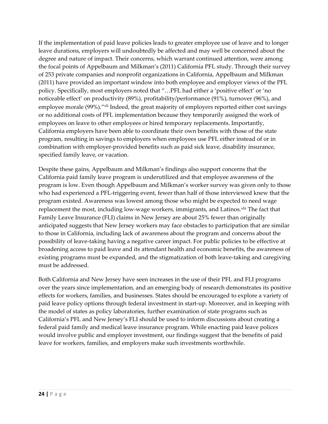If the implementation of paid leave policies leads to greater employee use of leave and to longer leave durations, employers will undoubtedly be affected and may well be concerned about the degree and nature of impact. Their concerns, which warrant continued attention, were among the focal points of Appelbaum and Milkman's (2011) California PFL study. Through their survey of 253 private companies and nonprofit organizations in California, Appelbaum and Milkman (2011) have provided an important window into both employee and employer views of the PFL policy. Specifically, most employers noted that "…PFL had either a 'positive effect' or 'no noticeable effect' on productivity (89%), profitability/performance (91%), turnover (96%), and employee morale (99%)."<sup>xli</sup> Indeed, the great majority of employers reported either cost savings or no additional costs of PFL implementation because they temporarily assigned the work of employees on leave to other employees or hired temporary replacements. Importantly, California employers have been able to coordinate their own benefits with those of the state program, resulting in savings to employers when employees use PFL either instead of or in combination with employer‐provided benefits such as paid sick leave, disability insurance, specified family leave, or vacation.

Despite these gains, Appelbaum and Milkman's findings also support concerns that the California paid family leave program is underutilized and that employee awareness of the program is low. Even though Appelbaum and Milkman's worker survey was given only to those who had experienced a PFL-triggering event, fewer than half of those interviewed knew that the program existed. Awareness was lowest among those who might be expected to need wage replacement the most, including low-wage workers, immigrants, and Latinos.<sup>xlii</sup> The fact that Family Leave Insurance (FLI) claims in New Jersey are about 25% fewer than originally anticipated suggests that New Jersey workers may face obstacles to participation that are similar to those in California, including lack of awareness about the program and concerns about the possibility of leave‐taking having a negative career impact. For public policies to be effective at broadening access to paid leave and its attendant health and economic benefits, the awareness of existing programs must be expanded, and the stigmatization of both leave-taking and caregiving must be addressed.

Both California and New Jersey have seen increases in the use of their PFL and FLI programs over the years since implementation, and an emerging body of research demonstrates its positive effects for workers, families, and businesses. States should be encouraged to explore a variety of paid leave policy options through federal investment in start‐up. Moreover, and in keeping with the model of states as policy laboratories, further examination of state programs such as California's PFL and New Jersey's FLI should be used to inform discussions about creating a federal paid family and medical leave insurance program. While enacting paid leave polices would involve public and employer investment, our findings suggest that the benefits of paid leave for workers, families, and employers make such investments worthwhile.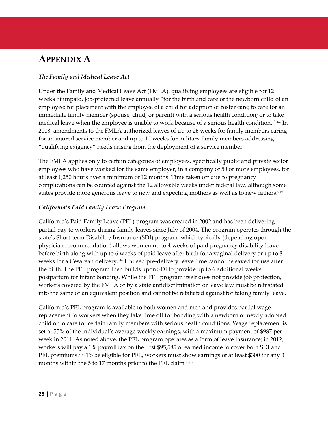# **APPENDIX A**

#### *The Family and Medical Leave Act*

Under the Family and Medical Leave Act (FMLA), qualifying employees are eligible for 12 weeks of unpaid, job-protected leave annually "for the birth and care of the newborn child of an employee; for placement with the employee of a child for adoption or foster care; to care for an immediate family member (spouse, child, or parent) with a serious health condition; or to take medical leave when the employee is unable to work because of a serious health condition." xliii In 2008, amendments to the FMLA authorized leaves of up to 26 weeks for family members caring for an injured service member and up to 12 weeks for military family members addressing "qualifying exigency" needs arising from the deployment of a service member.

The FMLA applies only to certain categories of employees, specifically public and private sector employees who have worked for the same employer, in a company of 50 or more employees, for at least 1,250 hours over a minimum of 12 months. Time taken off due to pregnancy complications can be counted against the 12 allowable weeks under federal law, although some states provide more generous leave to new and expecting mothers as well as to new fathers. Xilv

#### *California's Paid Family Leave Program*

California's Paid Family Leave (PFL) program was created in 2002 and has been delivering partial pay to workers during family leaves since July of 2004. The program operates through the state's Short‐term Disability Insurance (SDI) program, which typically (depending upon physician recommendation) allows women up to 4 weeks of paid pregnancy disability leave before birth along with up to 6 weeks of paid leave after birth for a vaginal delivery or up to 8 weeks for a Cesarean delivery.<sup>xlv</sup> Unused pre-delivery leave time cannot be saved for use after the birth. The PFL program then builds upon SDI to provide up to 6 additional weeks postpartum for infant bonding. While the PFL program itself does not provide job protection, workers covered by the FMLA or by a state antidiscrimination or leave law must be reinstated into the same or an equivalent position and cannot be retaliated against for taking family leave.

California's PFL program is available to both women and men and provides partial wage replacement to workers when they take time off for bonding with a newborn or newly adopted child or to care for certain family members with serious health conditions. Wage replacement is set at 55% of the individual's average weekly earnings, with a maximum payment of \$987 per week in 2011. As noted above, the PFL program operates as a form of leave insurance; in 2012, workers will pay a 1% payroll tax on the first \$95,585 of earned income to cover both SDI and PFL premiums.<sup>xlvi</sup> To be eligible for PFL, workers must show earnings of at least \$300 for any 3 months within the 5 to 17 months prior to the PFL claim.xlvii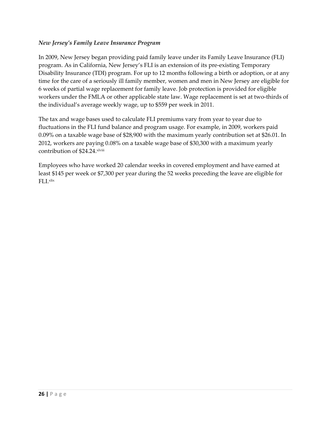#### *New Jersey's Family Leave Insurance Program*

In 2009, New Jersey began providing paid family leave under its Family Leave Insurance (FLI) program. As in California, New Jersey's FLI is an extension of its pre‐existing Temporary Disability Insurance (TDI) program. For up to 12 months following a birth or adoption, or at any time for the care of a seriously ill family member, women and men in New Jersey are eligible for 6 weeks of partial wage replacement for family leave. Job protection is provided for eligible workers under the FMLA or other applicable state law. Wage replacement is set at two-thirds of the individual's average weekly wage, up to \$559 per week in 2011.

The tax and wage bases used to calculate FLI premiums vary from year to year due to fluctuations in the FLI fund balance and program usage. For example, in 2009, workers paid 0.09% on a taxable wage base of \$28,900 with the maximum yearly contribution set at \$26.01. In 2012, workers are paying 0.08% on a taxable wage base of \$30,300 with a maximum yearly contribution of \$24.24.xlviii

Employees who have worked 20 calendar weeks in covered employment and have earned at least \$145 per week or \$7,300 per year during the 52 weeks preceding the leave are eligible for FLI.xlix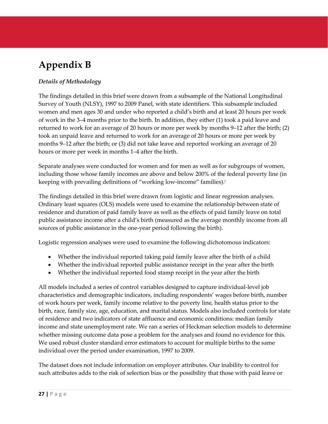# **Appendix B**

### *Details of Methodology*

The findings detailed in this brief were drawn from a subsample of the National Longitudinal Survey of Youth (NLSY), 1997 to 2009 Panel, with state identifiers. This subsample included women and men ages 30 and under who reported a child's birth and at least 20 hours per week of work in the 3–4 months prior to the birth. In addition, they either (1) took a paid leave and returned to work for an average of 20 hours or more per week by months 9–12 after the birth; (2) took an unpaid leave and returned to work for an average of 20 hours or more per week by months 9–12 after the birth; or (3) did not take leave and reported working an average of 20 hours or more per week in months 1–4 after the birth.

Separate analyses were conducted for women and for men as well as for subgroups of women, including those whose family incomes are above and below 200% of the federal poverty line (in keeping with prevailing definitions of "working low‐income" families).i

The findings detailed in this brief were drawn from logistic and linear regression analyses. Ordinary least squares (OLS) models were used to examine the relationship between state of residence and duration of paid family leave as well as the effects of paid family leave on total public assistance income after a child's birth (measured as the average monthly income from all sources of public assistance in the one‐year period following the birth).

Logistic regression analyses were used to examine the following dichotomous indicators:

- Whether the individual reported taking paid family leave after the birth of a child
- Whether the individual reported public assistance receipt in the year after the birth
- Whether the individual reported food stamp receipt in the year after the birth

All models included a series of control variables designed to capture individual‐level job characteristics and demographic indicators, including respondents' wages before birth, number of work hours per week, family income relative to the poverty line, health status prior to the birth, race, family size, age, education, and marital status. Models also included controls for state of residence and two indicators of state affluence and economic conditions: median family income and state unemployment rate. We ran a series of Heckman selection models to determine whether missing outcome data pose a problem for the analyses and found no evidence for this. We used robust cluster standard error estimators to account for multiple births to the same individual over the period under examination, 1997 to 2009.

The dataset does not include information on employer attributes. Our inability to control for such attributes adds to the risk of selection bias or the possibility that those with paid leave or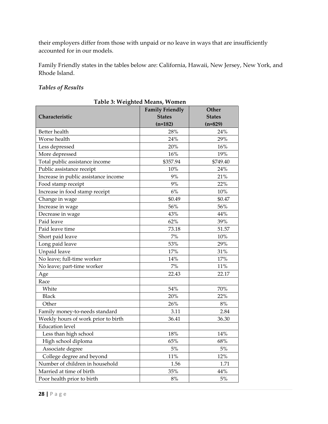their employers differ from those with unpaid or no leave in ways that are insufficiently accounted for in our models.

Family Friendly states in the tables below are: California, Hawaii, New Jersey, New York, and Rhode Island.

### *Tables of Results*

|                                      | <b>Family Friendly</b> | Other         |  |
|--------------------------------------|------------------------|---------------|--|
| Characteristic                       | <b>States</b>          | <b>States</b> |  |
|                                      | $(n=182)$              | $(n=829)$     |  |
| Better health                        | 28%                    | 24%           |  |
| Worse health                         | 24%                    | 29%           |  |
| Less depressed                       | 20%                    | 16%           |  |
| More depressed                       | 16%                    | 19%           |  |
| Total public assistance income       | \$357.94               | \$749.40      |  |
| Public assistance receipt            | 10%                    | 24%           |  |
| Increase in public assistance income | 9%                     | 21%           |  |
| Food stamp receipt                   | 9%                     | 22%           |  |
| Increase in food stamp receipt       | 6%                     | 10%           |  |
| Change in wage                       | \$0.49                 | \$0.47        |  |
| Increase in wage                     | 56%                    | 56%           |  |
| Decrease in wage                     | 43%                    | 44%           |  |
| Paid leave                           | 62%                    | 39%           |  |
| Paid leave time                      | 73.18                  | 51.57         |  |
| Short paid leave                     | 7%                     | 10%           |  |
| Long paid leave                      | 53%                    | 29%           |  |
| Unpaid leave                         | 17%                    | 31%           |  |
| No leave; full-time worker           | 14%                    | 17%           |  |
| No leave; part-time worker           | 7%                     | $11\%$        |  |
| Age                                  | 22.43                  | 22.17         |  |
| Race                                 |                        |               |  |
| White                                | 54%                    | 70%           |  |
| <b>Black</b>                         | 20%                    | 22%           |  |
| Other                                | 26%                    | 8%            |  |
| Family money-to-needs standard       | 3.11                   | 2.84          |  |
| Weekly hours of work prior to birth  | 36.41                  | 36.30         |  |
| <b>Education level</b>               |                        |               |  |
| Less than high school                | 18%                    | 14%           |  |
| High school diploma                  | 65%                    | 68%           |  |
| Associate degree                     | $5\%$                  | $5\%$         |  |
| College degree and beyond            | 11%                    | 12%           |  |
| Number of children in household      | 1.56                   | 1.71          |  |
| Married at time of birth             | 35%                    | 44%           |  |
| Poor health prior to birth           | $8\%$                  | $5\%$         |  |

**28 |** Page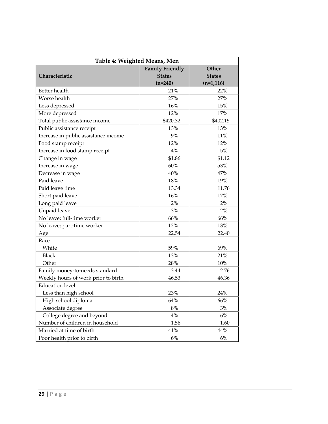| Table 4: Weighted Means, Men         |                        |               |  |
|--------------------------------------|------------------------|---------------|--|
|                                      | <b>Family Friendly</b> | Other         |  |
| Characteristic                       | <b>States</b>          | <b>States</b> |  |
|                                      | $(n=240)$              | $(n=1,116)$   |  |
| Better health                        | 21%                    | 22%           |  |
| Worse health                         | 27%                    | 27%           |  |
| Less depressed                       | 16%                    | 15%           |  |
| More depressed                       | 12%                    | 17%           |  |
| Total public assistance income       | \$420.32               | \$402.15      |  |
| Public assistance receipt            | 13%                    | 13%           |  |
| Increase in public assistance income | 9%                     | 11%           |  |
| Food stamp receipt                   | 12%                    | 12%           |  |
| Increase in food stamp receipt       | 4%                     | $5\%$         |  |
| Change in wage                       | \$1.86                 | \$1.12        |  |
| Increase in wage                     | 60%                    | 53%           |  |
| Decrease in wage                     | 40%                    | 47%           |  |
| Paid leave                           | 18%                    | 19%           |  |
| Paid leave time                      | 13.34                  | 11.76         |  |
| Short paid leave                     | 16%                    | 17%           |  |
| Long paid leave                      | 2%                     | 2%            |  |
| Unpaid leave                         | 3%                     | $2\%$         |  |
| No leave; full-time worker           | 66%                    | 66%           |  |
| No leave; part-time worker           | 12%                    | 13%           |  |
| Age                                  | 22.54                  | 22.40         |  |
| Race                                 |                        |               |  |
| White                                | 59%                    | 69%           |  |
| <b>Black</b>                         | 13%                    | 21%           |  |
| Other                                | 28%                    | 10%           |  |
| Family money-to-needs standard       | 3.44                   | 2.76          |  |
| Weekly hours of work prior to birth  | 46.53                  | 46.36         |  |
| <b>Education</b> level               |                        |               |  |
| Less than high school                | 23%                    | 24%           |  |
| High school diploma                  | 64%                    | 66%           |  |
| Associate degree                     | $8\%$                  | 3%            |  |
| College degree and beyond            | $4\%$                  | $6\%$         |  |
| Number of children in household      | 1.56                   | 1.60          |  |
| Married at time of birth             | 41%                    | 44%           |  |
| Poor health prior to birth           | $6\%$                  | $6\%$         |  |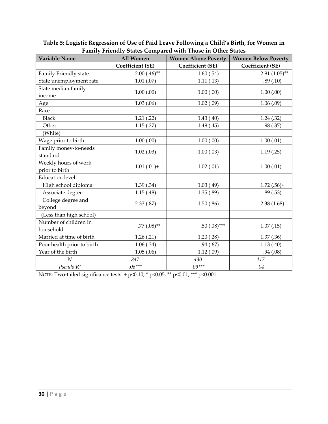| <b>Variable Name</b>       | All Women               | ranniy rhenary states compared with rhose in Other states<br><b>Women Above Poverty</b> | <b>Women Below Poverty</b> |
|----------------------------|-------------------------|-----------------------------------------------------------------------------------------|----------------------------|
|                            | <b>Coefficient (SE)</b> | <b>Coefficient (SE)</b>                                                                 | <b>Coefficient (SE)</b>    |
| Family Friendly state      | $2.00(.46)$ **          | 1.60(.54)                                                                               | $2.91(1.05)$ **            |
| State unemployment rate    | 1.01(.07)               | 1.11(.13)                                                                               | .89(.10)                   |
| State median family        | 1.00(0.00)              | 1.00(0.00)                                                                              | 1.00(0.00)                 |
| income                     |                         |                                                                                         |                            |
| Age                        | 1.03(0.06)              | 1.02(.09)                                                                               | 1.06(.09)                  |
| Race                       |                         |                                                                                         |                            |
| <b>Black</b>               | 1.21(.22)               | 1.43(0.40)                                                                              | 1.24(.32)                  |
| Other                      | 1.15(.27)               | 1.49(0.45)                                                                              | .98(.37)                   |
| (White)                    |                         |                                                                                         |                            |
| Wage prior to birth        | 1.00(0.00)              | 1.00(0.00)                                                                              | 1.00(0.01)                 |
| Family money-to-needs      | 1.02(.03)               | 1.00(0.03)                                                                              | 1.19(0.25)                 |
| standard                   |                         |                                                                                         |                            |
| Weekly hours of work       | $1.01(.01) +$           | 1.02(.01)                                                                               | 1.00(0.01)                 |
| prior to birth             |                         |                                                                                         |                            |
| <b>Education</b> level     |                         |                                                                                         |                            |
| High school diploma        | 1.39(.34)               | 1.03(.49)                                                                               | $1.72(.56) +$              |
| Associate degree           | 1.15(0.48)              | 1.35(.89)                                                                               | .89(.53)                   |
| College degree and         | 2.33(.87)               | 1.50(.86)                                                                               | 2.38(1.68)                 |
| beyond                     |                         |                                                                                         |                            |
| (Less than high school)    |                         |                                                                                         |                            |
| Number of children in      | $.77(.08)$ **           | .50 $(.08)$ ***                                                                         | 1.07(0.15)                 |
| household                  |                         |                                                                                         |                            |
| Married at time of birth   | 1.26(.21)               | 1.20(.28)                                                                               | 1.37(0.36)                 |
| Poor health prior to birth | 1.06(.34)               | .94(.67)                                                                                | 1.13(0.40)                 |
| Year of the birth          | 1.05(.06)               | 1.12(.09)                                                                               | .94(.08)                   |
| N                          | 847                     | 430                                                                                     | 417                        |
| Pseudo R <sup>2</sup>      | $.06***$                | $.09***$                                                                                | .04                        |

**Table 5: Logistic Regression of Use of Paid Leave Following a Child's Birth, for Women in Family Friendly States Compared with Those in Other States**

NOTE: Two-tailed significance tests: + p<0.10, \* p<0.05, \*\* p<0.01, \*\*\* p<0.001.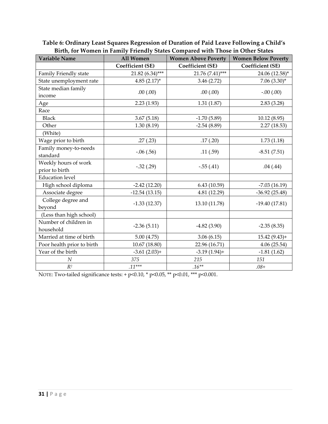| <b>Variable Name</b>                   | All Women               | phth, for women in runnly rhendry blates compared with rhose in Other blates<br><b>Women Above Poverty</b> | <b>Women Below Poverty</b> |
|----------------------------------------|-------------------------|------------------------------------------------------------------------------------------------------------|----------------------------|
|                                        | <b>Coefficient (SE)</b> | <b>Coefficient (SE)</b>                                                                                    | <b>Coefficient (SE)</b>    |
| Family Friendly state                  | 21.82 (6.34)***         | 21.76 (7.41)***                                                                                            | 24.06 (12.58)*             |
| State unemployment rate                | $4.85(2.17)^*$          | 3.46(2.72)                                                                                                 | $7.06(3.30)^{*}$           |
| State median family<br>income          | .00(.00)                | .00(.00)                                                                                                   | $-.00(.00)$                |
| Age                                    | 2.23(1.93)              | 1.31(1.87)                                                                                                 | 2.83(3.28)                 |
| Race                                   |                         |                                                                                                            |                            |
| <b>Black</b>                           | 3.67(5.18)              | $-1.70(5.89)$                                                                                              | 10.12 (8.95)               |
| Other                                  | 1.30(8.19)              | $-2.54(8.89)$                                                                                              | 2.27(18.53)                |
| (White)                                |                         |                                                                                                            |                            |
| Wage prior to birth                    | .27(.23)                | .17(.20)                                                                                                   | 1.73(1.18)                 |
| Family money-to-needs<br>standard      | $-.06(.56)$             | .11(.59)                                                                                                   | $-8.51(7.51)$              |
| Weekly hours of work<br>prior to birth | $-.32(.29)$             | $-.55(.41)$                                                                                                | .04(.44)                   |
| <b>Education</b> level                 |                         |                                                                                                            |                            |
| High school diploma                    | $-2.42(12.20)$          | 6.43(10.59)                                                                                                | $-7.03(16.19)$             |
| Associate degree                       | $-12.54(13.15)$         | 4.81 (12.29)                                                                                               | $-36.92(25.48)$            |
| College degree and<br>beyond           | $-1.33(12.37)$          | 13.10 (11.78)                                                                                              | $-19.40(17.81)$            |
| (Less than high school)                |                         |                                                                                                            |                            |
| Number of children in<br>household     | $-2.36(5.11)$           | $-4.82(3.90)$                                                                                              | $-2.35(8.35)$              |
| Married at time of birth               | 5.00(4.75)              | 3.06(6.15)                                                                                                 | $15.42(9.43)+$             |
| Poor health prior to birth             | 10.67 (18.80)           | 22.96 (16.71)                                                                                              | 4.06(25.54)                |
| Year of the birth                      | $-3.61(2.03)+$          | $-3.19(1.94) +$                                                                                            | $-1.81(1.62)$              |
| N                                      | 375                     | 215                                                                                                        | 151                        |
| $R^2$                                  | $.11***$                | $.16**$                                                                                                    | $.08+$                     |

**Table 6: Ordinary Least Squares Regression of Duration of Paid Leave Following a Child's Birth, for Women in Family Friendly States Compared with Those in Other States**

NOTE: Two-tailed significance tests: + p<0.10, \* p<0.05, \*\* p<0.01, \*\*\* p<0.001.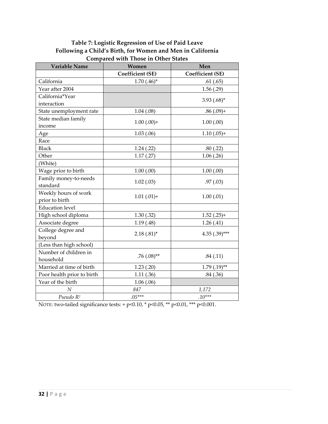### **Table 7: Logistic Regression of Use of Paid Leave Following a Child's Birth, for Women and Men in California Compared with Those in Other States**

| <b>Variable Name</b>       | Women                   | Men                     |
|----------------------------|-------------------------|-------------------------|
|                            | <b>Coefficient (SE)</b> | <b>Coefficient (SE)</b> |
| California                 | $1.70(.46)^*$           | .61(.65)                |
| Year after 2004            |                         | 1.56(.29)               |
| California*Year            |                         | $3.93$ $(.68)^*$        |
| interaction                |                         |                         |
| State unemployment rate    | 1.04(.08)               | $.86(.09) +$            |
| State median family        | $1.00(.00) +$           | 1.00(0.00)              |
| income                     |                         |                         |
| Age                        | 1.03(0.06)              | $1.10(.05) +$           |
| Race                       |                         |                         |
| <b>Black</b>               | 1.24(.22)               | .80(.22)                |
| Other                      | 1.17(0.27)              | 1.06(.26)               |
| (White)                    |                         |                         |
| Wage prior to birth        | 1.00(.00)               | 1.00(.00)               |
| Family money-to-needs      | 1.02(0.03)              | .97(0.03)               |
| standard                   |                         |                         |
| Weekly hours of work       | $1.01(.01) +$           | 1.00(.01)               |
| prior to birth             |                         |                         |
| <b>Education</b> level     |                         |                         |
| High school diploma        | 1.30(.32)               | $1.52(.25) +$           |
| Associate degree           | 1.19(0.48)              | 1.26(0.41)              |
| College degree and         | $2.18(.81)^*$           | $4.35(.39)***$          |
| beyond                     |                         |                         |
| (Less than high school)    |                         |                         |
| Number of children in      | $.76(.08)$ **           | .84(.11)                |
| household                  |                         |                         |
| Married at time of birth   | 1.23(0.20)              | $1.79$ $(.19)$ **       |
| Poor health prior to birth | 1.11(.36)               | .84(.36)                |
| Year of the birth          | 1.06(.06)               |                         |
| $\boldsymbol{N}$           | 847                     | 1,172                   |
| Pseudo R <sup>2</sup>      | $.05***$                | $.10***$                |

NOTE: two-tailed significance tests: + p<0.10, \* p<0.05, \*\* p<0.01, \*\*\* p<0.001.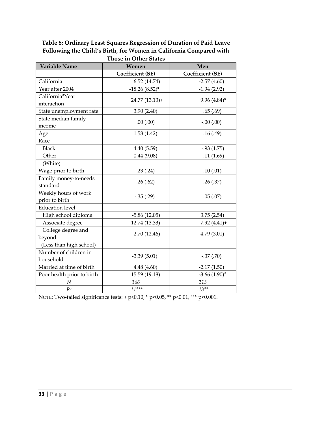#### **Table 8: Ordinary Least Squares Regression of Duration of Paid Leave Following the Child's Birth, for Women in California Compared with Those in Other States**

| I nose in Other States<br><b>Variable Name</b><br>Men<br>Women |                         |                         |  |  |
|----------------------------------------------------------------|-------------------------|-------------------------|--|--|
|                                                                | <b>Coefficient (SE)</b> | <b>Coefficient (SE)</b> |  |  |
| California                                                     | 6.52(14.74)             | $-2.57(4.60)$           |  |  |
| Year after 2004                                                | $-18.26(8.52)$ *        | $-1.94(2.92)$           |  |  |
| California*Year<br>interaction                                 | 24.77 (13.13)+          | $9.96(4.84)^{*}$        |  |  |
| State unemployment rate                                        | 3.90(2.40)              | .65(.69)                |  |  |
| State median family<br>income                                  | .00(.00)                | $-0.00(0.00)$           |  |  |
| Age                                                            | 1.58(1.42)              | .16(.49)                |  |  |
| Race                                                           |                         |                         |  |  |
| <b>Black</b>                                                   | 4.40(5.59)              | $-0.93(1.75)$           |  |  |
| Other                                                          | 0.44(9.08)              | $-.11(1.69)$            |  |  |
| (White)                                                        |                         |                         |  |  |
| Wage prior to birth                                            | .23(.24)                | .10(0.01)               |  |  |
| Family money-to-needs<br>standard                              | $-.26(.62)$             | $-.26(.37)$             |  |  |
| Weekly hours of work<br>prior to birth                         | $-.35(.29)$             | .05(.07)                |  |  |
| <b>Education</b> level                                         |                         |                         |  |  |
| High school diploma                                            | $-5.86(12.05)$          | 3.75(2.54)              |  |  |
| Associate degree                                               | $-12.74(13.33)$         | $7.92(4.41) +$          |  |  |
| College degree and<br>beyond                                   | $-2.70(12.46)$          | 4.79(3.01)              |  |  |
| (Less than high school)                                        |                         |                         |  |  |
| Number of children in<br>household                             | $-3.39(5.01)$           | $-.37(.70)$             |  |  |
| Married at time of birth                                       | 4.48 (4.60)             | $-2.17(1.50)$           |  |  |
| Poor health prior to birth                                     | 15.59 (19.18)           | $-3.66$ $(1.90)$ *      |  |  |
| $\cal N$                                                       | 366                     | 213                     |  |  |
| R <sup>2</sup>                                                 | $.11***$                | $.13**$                 |  |  |

NOTE: Two-tailed significance tests: + p<0.10, \* p<0.05, \*\* p<0.01, \*\*\* p<0.001.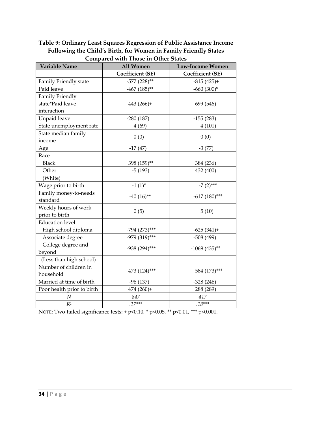### **Table 9: Ordinary Least Squares Regression of Public Assistance Income Following the Child's Birth, for Women in Family Friendly States Compared with Those in Other States**

| Variable Name              | All Women               | <b>Low-Income Women</b> |  |
|----------------------------|-------------------------|-------------------------|--|
|                            | <b>Coefficient (SE)</b> | <b>Coefficient (SE)</b> |  |
| Family Friendly state      | $-577$ (228)**          | $-815(425)+$            |  |
| Paid leave                 | $-467$ (185)**          | $-660(300)*$            |  |
| Family Friendly            |                         |                         |  |
| state*Paid leave           | $443(266)+$             | 699 (546)               |  |
| interaction                |                         |                         |  |
| Unpaid leave               | $-280(187)$             | $-155(283)$             |  |
| State unemployment rate    | 4(69)                   | 4(101)                  |  |
| State median family        | 0(0)                    | 0(0)                    |  |
| income                     |                         |                         |  |
| Age                        | $-17(47)$               | $-3(77)$                |  |
| Race                       |                         |                         |  |
| <b>Black</b>               | 398 (159)**             | 384 (236)               |  |
| Other                      | $-5(193)$               | 432 (400)               |  |
| (White)                    |                         |                         |  |
| Wage prior to birth        | $-1(1)^{*}$             | $-7(2)$ ***             |  |
| Family money-to-needs      | $-40(16)$ **            | $-617(180)$ ***         |  |
| standard                   |                         |                         |  |
| Weekly hours of work       | 0(5)                    | 5(10)                   |  |
| prior to birth             |                         |                         |  |
| <b>Education</b> level     |                         |                         |  |
| High school diploma        | $-794$ (273)***         | $-625(341)+$            |  |
| Associate degree           | -979 (319)***           | $-508(499)$             |  |
| College degree and         | -938 (294)***           | $-1069(435)$ **         |  |
| beyond                     |                         |                         |  |
| (Less than high school)    |                         |                         |  |
| Number of children in      | 473 (124)***            | 584 (173)***            |  |
| household                  |                         |                         |  |
| Married at time of birth   | $-96(137)$              | $-328(246)$             |  |
| Poor health prior to birth | 474 (260)+              | 288 (289)               |  |
| $\cal N$                   | 847                     | 417                     |  |
| $R^2$                      | $.17***$                | $.18***$                |  |

NOTE: Two-tailed significance tests:  $+ p<0.10$ ,  $* p<0.05$ ,  $** p<0.01$ ,  $*** p<0.001$ .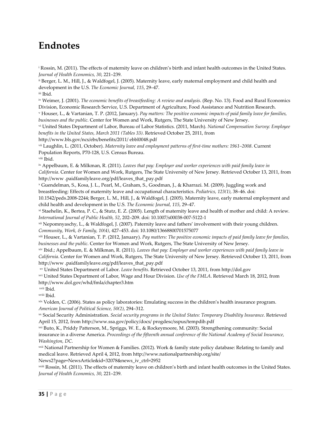## **Endnotes**

<sup>i</sup> Rossin, M. (2011). The effects of maternity leave on children's birth and infant health outcomes in the United States. *Journal of Health Economics, 30*, 221–239.

ii Berger, L. M., Hill, J., & Waldfogel, J. (2005). Maternity leave, early maternal employment and child health and development in the U.S. *The Economic Journal, 115*, 29–47.

iii Ibid.

iv Weimer, J. (2001). *The economic benefits of breastfeeding: A review and analysis*. (Rep. No. 13). Food and Rural Economics Division, Economic Research Service, U.S. Department of Agriculture, Food Assistance and Nutrition Research.

<sup>v</sup> Houser, L., & Vartanian, T. P. (2012, January). *Pay matters: The positive economic impacts of paid family leave for families, businesses and the public*. Center for Women and Work, Rutgers, The State University of New Jersey.

vi United States Department of Labor, Bureau of Labor Statistics. (2011, March). *National Compensation Survey: Employee benefits in the United States, March 2011 (Tables 33)*. Retrieved October 25, 2011, from

http://www.bls.gov/ncs/ebs/benefits/2011/ ebbl0048.pdf

vii Laughlin, L. (2011, October). *Maternity leave and employment patterns of first‐time mothers: 1961–2008*. Current Population Reports, P70‐128, U.S. Census Bureau.

viii Ibid.

ix Appelbaum, E. & Milkman, R. (2011). *Leaves that pay: Employer and worker experiences with paid family leave in California*. Center for Women and Work, Rutgers, The State University of New Jersey. Retrieved October 13, 2011, from http://www .paidfamilyleave.org/pdf/leaves\_that\_pay.pdf

<sup>x</sup> Guendelman, S., Kosa, J. L., Pearl, M., Graham, S., Goodman, J., & Kharrazi. M. (2009). Juggling work and breastfeeding: Effects of maternity leave and occupational characteristics. *Pediatrics, 123(1)*, 38–46. doi:

10.1542/peds.2008‐2244; Berger, L. M., Hill, J., & Waldfogel, J. (2005). Maternity leave, early maternal employment and child health and development in the U.S. *The Economic Journal, 115*, 29–47.

xi Staehelin, K., Bertea, P. C., & Stutz, E. Z. (2005). Length of maternity leave and health of mother and child: A review. *International Journal of Public Health, 52*, 202–209. doi: 10.1007/s00038‐007‐5122‐1

xii Nepomnyaschy, L., & Waldfogel, J. (2007). Paternity leave and fathers' involvement with their young children. *Community, Work, & Family, 10(4)*, 427–453. doi: 10.1080/13668800701575077

xiii Houser, L., & Vartanian, T. P. (2012, January). *Pay matters: The positive economic impacts of paid family leave for families, businesses and the public*. Center for Women and Work, Rutgers, The State University of New Jersey.

xiv Ibid.; Appelbaum, E. & Milkman, R. (2011). *Leaves that pay: Employer and worker experiences with paid family leave in California*. Center for Women and Work, Rutgers, The State University of New Jersey. Retrieved October 13, 2011, from http://www .paidfamilyleave.org/pdf/leaves\_that\_pay.pdf

xv United States Department of Labor. *Leave benefits*. Retrieved October 13, 2011, from http://dol.gov

xvi United States Department of Labor, Wage and Hour Division. *Use of the FMLA*. Retrieved March 18, 2012, from http://www.dol.gov/whd/fmla/chapter3.htm

xvii Ibid.

xviii Ibid.

xix Volden, C. (2006). States as policy laboratories: Emulating success in the children's health insurance program. *American Journal of Political Science, 50(2)*, 294–312.

xx Social Security Administration. *Social security programs in the United States: Temporary Disability Insurance*. Retrieved April 15, 2012, from http://www.ssa.gov/policy/docs/ progdesc/sspus/tempdib.pdf

xxi Buto, K., Priddy Patterson, M., Spriggs, W. E., & Rockeymoore, M. (2003). Strengthening community: Social insurance in a diverse America. *Proceedings of the fifteenth annual conference of the National Academy of Social Insurance, Washington, DC*.

xxii National Partnership for Women & Families. (2012). Work & family state policy database: Relating to family and medical leave. Retrieved April 4, 2012, from http://www.nationalpartnership.org/site/

News2?page=NewsArticle&id=32078&news\_iv\_ctrl=2952

xxiii Rossin, M. (2011). The effects of maternity leave on children's birth and infant health outcomes in the United States. *Journal of Health Economics, 30*, 221–239.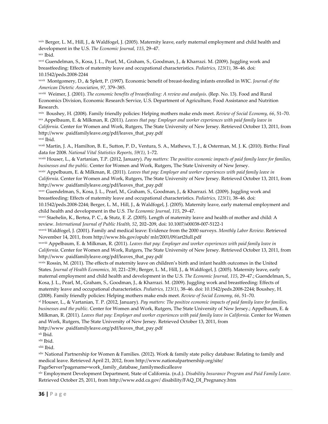xxiv Berger, L. M., Hill, J., & Waldfogel, J. (2005). Maternity leave, early maternal employment and child health and development in the U.S. *The Economic Journal, 115*, 29–47. xxv Ibid.

xxvi Guendelman, S., Kosa, J. L., Pearl, M., Graham, S., Goodman, J., & Kharrazi. M. (2009). Juggling work and breastfeeding: Effects of maternity leave and occupational characteristics. *Pediatrics, 123(1)*, 38–46. doi: 10.1542/peds.2008‐2244

xxvii Montgomery, D., & Splett, P. (1997). Economic benefit of breast‐feeding infants enrolled in WIC. *Journal of the American Dietetic Association*, *97*, 379–385.

xxviii Weimer, J. (2001). *The economic benefits of breastfeeding: A review and analysis*. (Rep. No. 13). Food and Rural Economics Division, Economic Research Service, U.S. Department of Agriculture, Food Assistance and Nutrition Research.

xxix Boushey, H. (2008). Family friendly policies: Helping mothers make ends meet. *Review of Social Economy, 66*, 51–70. xxx Appelbaum, E. & Milkman, R. (2011). *Leaves that pay: Employer and worker experiences with paid family leave in California*. Center for Women and Work, Rutgers, The State University of New Jersey. Retrieved October 13, 2011, from http://www .paidfamilyleave.org/pdf/leaves\_that\_pay.pdf xxxi Ibid.

xxxii Martin, J. A., Hamilton, B. E., Sutton, P. D., Ventura, S. A., Mathews, T. J., & Osterman, M. J. K. (2010). Births: Final data for 2008. *National Vital Statistics Reports, 59(1)*, 1–72.

xxxiii Houser, L., & Vartanian, T.P. (2012, January). *Pay matters: The positive economic impacts of paid family leave for families, businesses and the public*. Center for Women and Work, Rutgers, The State University of New Jersey.

xxxiv Appelbaum, E. & Milkman, R. (2011). *Leaves that pay: Employer and worker experiences with paid family leave in California*. Center for Women and Work, Rutgers, The State University of New Jersey. Retrieved October 13, 2011, from http://www .paidfamilyleave.org/pdf/leaves\_that\_pay.pdf

xxxv Guendelman, S., Kosa, J. L., Pearl, M., Graham, S., Goodman, J., & Kharrazi. M. (2009). Juggling work and breastfeeding: Effects of maternity leave and occupational characteristics. *Pediatrics, 123(1)*, 38–46. doi:

10.1542/peds.2008‐2244; Berger, L. M., Hill, J., & Waldfogel, J. (2005). Maternity leave, early maternal employment and child health and development in the U.S. *The Economic Journal, 115*, 29–47.

xxxvi Staehelin, K., Bertea, P. C., & Stutz, E .Z. (2005). Length of maternity leave and health of mother and child: A review. *International Journal of Public Health, 52*, 202–209, doi: 10.1007/s00038‐007‐5122‐1

xxxvii Waldfogel, J. (2001). Family and medical leave: Evidence from the 2000 surveys. *Monthly Labor Review*. Retrieved November 14, 2011, from http://www.bls.gov/opub/ mlr/2001/09/art2full.pdf

xxxviii Appelbaum, E. & Milkman, R. (2011). *Leaves that pay: Employer and worker experiences with paid family leave in California*. Center for Women and Work, Rutgers, The State University of New Jersey. Retrieved October 13, 2011, from http://www .paidfamilyleave.org/pdf/leaves\_that\_pay.pdf

xxxix Rossin, M. (2011). The effects of maternity leave on children's birth and infant health outcomes in the United States. *Journal of Health Economics, 30*, 221–239.; Berger, L. M., Hill, J., & Waldfogel, J. (2005). Maternity leave, early maternal employment and child health and development in the U.S. *The Economic Journal, 115*, 29–47.; Guendelman, S., Kosa, J. L., Pearl, M., Graham, S., Goodman, J., & Kharrazi. M. (2009). Juggling work and breastfeeding: Effects of

maternity leave and occupational characteristics. *Pediatrics, 123(1)*, 38–46. doi: 10.1542/peds.2008‐2244; Boushey, H. (2008). Family friendly policies: Helping mothers make ends meet. *Review of Social Economy, 66*, 51–70.

xl Houser, L., & Vartanian, T. P. (2012, January). *Pay matters: The positive economic impacts of paid family leave for families, businesses and the public*. Center for Women and Work, Rutgers, The State University of New Jersey.; Appelbaum, E. & Milkman, R. (2011). *Leaves that pay: Employer and worker experiences with paid family leave in California*. Center for Women and Work, Rutgers, The State University of New Jersey. Retrieved October 13, 2011, from

http://www .paidfamilyleave.org/pdf/leaves\_that\_pay.pdf

xli Ibid.

xlii Ibid.

xliii Ibid.

xliv National Partnership for Women & Families. (2012). Work & family state policy database: Relating to family and medical leave. Retrieved April 21, 2012, from http://www.nationalpartnership.org/site/

PageServer?pagename=work\_family\_database\_familymedicalleave

xlv Employment Development Department, State of California. (n.d.). *Disability Insurance Program and Paid Family Leave*. Retrieved October 25, 2011, from http://www.edd.ca.gov/ disability/FAQ\_DI\_Pregnancy.htm